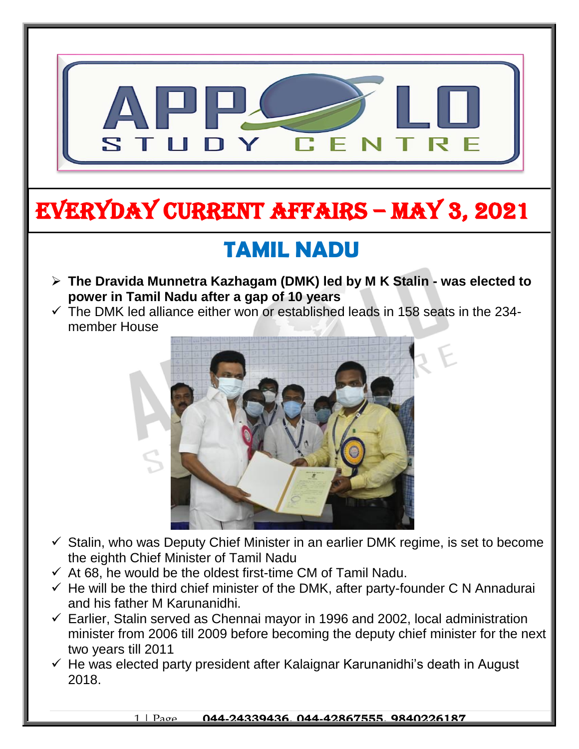

# EVERYDAY CURRENT AFFAIRS – MAY 3, 2021

-

## **TAMIL NADU**

- **The Dravida Munnetra Kazhagam (DMK) led by M K Stalin - was elected to power in Tamil Nadu after a gap of 10 years**
- $\checkmark$  The DMK led alliance either won or established leads in 158 seats in the 234member House



- $\checkmark$  Stalin, who was Deputy Chief Minister in an earlier DMK regime, is set to become the eighth Chief Minister of Tamil Nadu
- $\checkmark$  At 68, he would be the oldest first-time CM of Tamil Nadu.
- $\checkmark$  He will be the third chief minister of the DMK, after party-founder C N Annadurai and his father M Karunanidhi.
- $\checkmark$  Earlier, Stalin served as Chennai mayor in 1996 and 2002, local administration minister from 2006 till 2009 before becoming the deputy chief minister for the next two years till 2011
- $\checkmark$  He was elected party president after Kalaignar Karunanidhi's death in August 2018.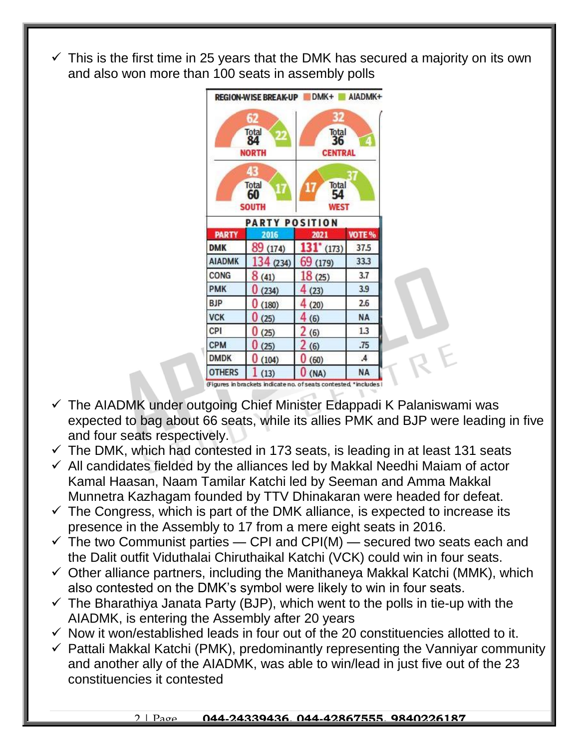$\checkmark$  This is the first time in 25 years that the DMK has secured a majority on its own and also won more than 100 seats in assembly polls



(Figures in brackets indicate no. of seats contested, \*includes

- $\checkmark$  The AIADMK under outgoing Chief Minister Edappadi K Palaniswami was expected to bag about 66 seats, while its allies PMK and BJP were leading in five and four seats respectively.
- $\checkmark$  The DMK, which had contested in 173 seats, is leading in at least 131 seats
- $\checkmark$  All candidates fielded by the alliances led by Makkal Needhi Maiam of actor Kamal Haasan, Naam Tamilar Katchi led by Seeman and Amma Makkal Munnetra Kazhagam founded by TTV Dhinakaran were headed for defeat.
- $\checkmark$  The Congress, which is part of the DMK alliance, is expected to increase its presence in the Assembly to 17 from a mere eight seats in 2016.
- $\checkmark$  The two Communist parties CPI and CPI(M) secured two seats each and the Dalit outfit Viduthalai Chiruthaikal Katchi (VCK) could win in four seats.
- $\checkmark$  Other alliance partners, including the Manithaneya Makkal Katchi (MMK), which also contested on the DMK's symbol were likely to win in four seats.
- $\checkmark$  The Bharathiya Janata Party (BJP), which went to the polls in tie-up with the AIADMK, is entering the Assembly after 20 years
- $\checkmark$  Now it won/established leads in four out of the 20 constituencies allotted to it.
- $\checkmark$  Pattali Makkal Katchi (PMK), predominantly representing the Vanniyar community and another ally of the AIADMK, was able to win/lead in just five out of the 23 constituencies it contested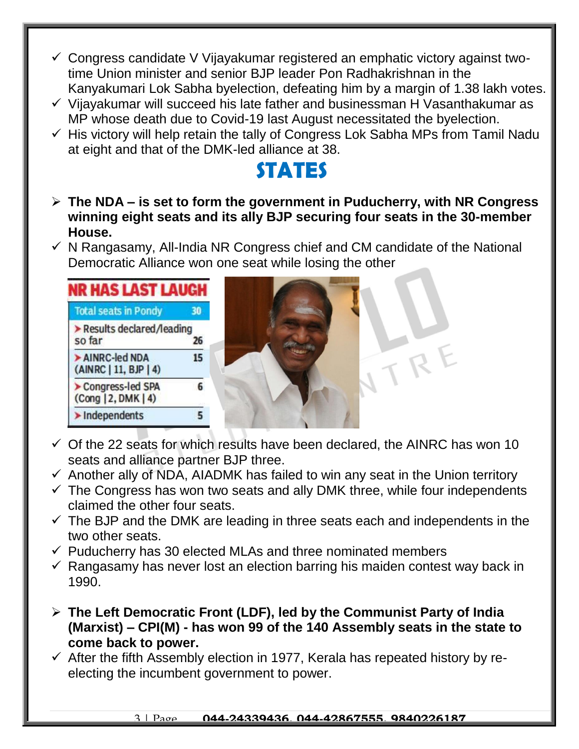- $\checkmark$  Congress candidate V Vijayakumar registered an emphatic victory against twotime Union minister and senior BJP leader Pon Radhakrishnan in the Kanyakumari Lok Sabha byelection, defeating him by a margin of 1.38 lakh votes.
- $\checkmark$  Vijavakumar will succeed his late father and businessman H Vasanthakumar as MP whose death due to Covid-19 last August necessitated the byelection.
- $\checkmark$  His victory will help retain the tally of Congress Lok Sabha MPs from Tamil Nadu at eight and that of the DMK-led alliance at 38.

### **STATES**

- **The NDA – is set to form the government in Puducherry, with NR Congress winning eight seats and its ally BJP securing four seats in the 30-member House.**
- $\checkmark$  N Rangasamy, All-India NR Congress chief and CM candidate of the National Democratic Alliance won one seat while losing the other



- $\checkmark$  Of the 22 seats for which results have been declared, the AINRC has won 10 seats and alliance partner BJP three.
- $\checkmark$  Another ally of NDA, AIADMK has failed to win any seat in the Union territory
- $\checkmark$  The Congress has won two seats and ally DMK three, while four independents claimed the other four seats.
- $\checkmark$  The BJP and the DMK are leading in three seats each and independents in the two other seats.
- $\checkmark$  Puducherry has 30 elected MLAs and three nominated members
- $\checkmark$  Rangasamy has never lost an election barring his maiden contest way back in 1990.
- **The Left Democratic Front (LDF), led by the Communist Party of India (Marxist) – CPI(M) - has won 99 of the 140 Assembly seats in the state to come back to power.**
- $\checkmark$  After the fifth Assembly election in 1977, Kerala has repeated history by reelecting the incumbent government to power.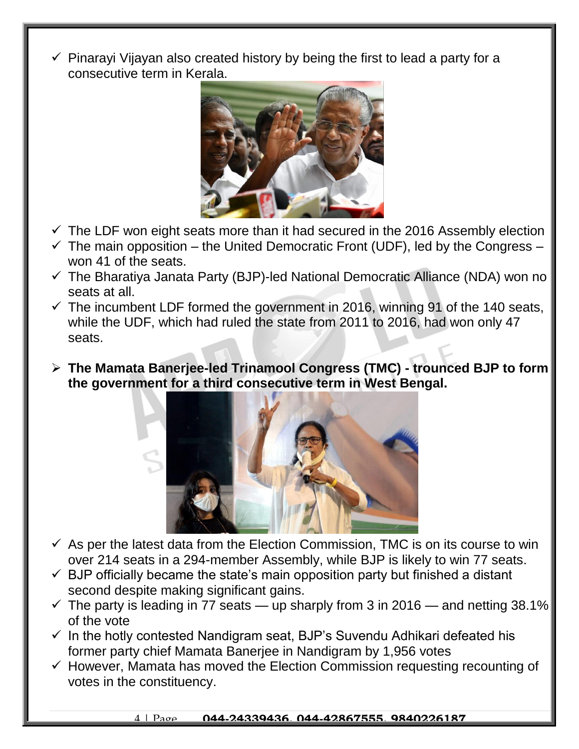$\checkmark$  Pinarayi Vijayan also created history by being the first to lead a party for a consecutive term in Kerala.



- $\checkmark$  The LDF won eight seats more than it had secured in the 2016 Assembly election
- $\checkmark$  The main opposition the United Democratic Front (UDF), led by the Congress won 41 of the seats.
- $\checkmark$  The Bharatiya Janata Party (BJP)-led National Democratic Alliance (NDA) won no seats at all.
- $\checkmark$  The incumbent LDF formed the government in 2016, winning 91 of the 140 seats, while the UDF, which had ruled the state from 2011 to 2016, had won only 47 seats.
- **The Mamata Banerjee-led Trinamool Congress (TMC) - trounced BJP to form the government for a third consecutive term in West Bengal.**



- $\checkmark$  As per the latest data from the Election Commission, TMC is on its course to win over 214 seats in a 294-member Assembly, while BJP is likely to win 77 seats.
- $\checkmark$  BJP officially became the state's main opposition party but finished a distant second despite making significant gains.
- $\checkmark$  The party is leading in 77 seats up sharply from 3 in 2016 and netting 38.1% of the vote
- $\checkmark$  In the hotly contested Nandigram seat, BJP's Suvendu Adhikari defeated his former party chief Mamata Banerjee in Nandigram by 1,956 votes
- $\checkmark$  However, Mamata has moved the Election Commission requesting recounting of votes in the constituency.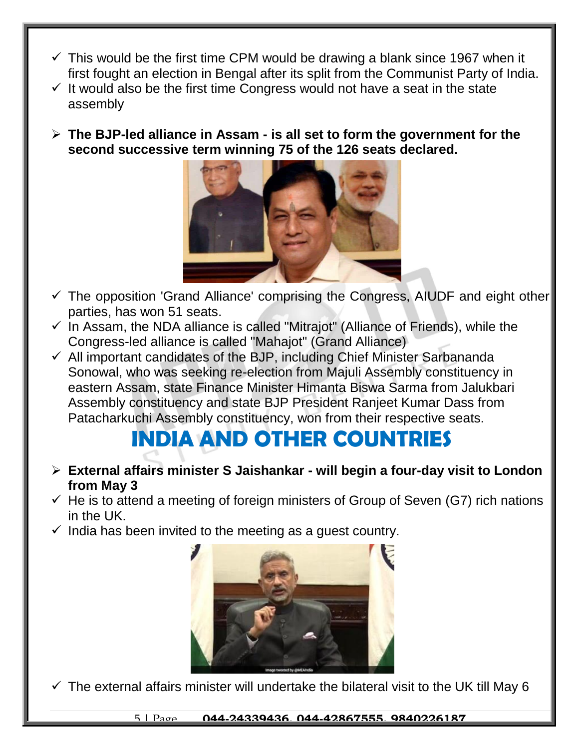- $\checkmark$  This would be the first time CPM would be drawing a blank since 1967 when it first fought an election in Bengal after its split from the Communist Party of India.
- $\checkmark$  It would also be the first time Congress would not have a seat in the state assembly
- **The BJP-led alliance in Assam - is all set to form the government for the second successive term winning 75 of the 126 seats declared.**



- $\checkmark$  The opposition 'Grand Alliance' comprising the Congress, AIUDF and eight other parties, has won 51 seats.
- $\checkmark$  In Assam, the NDA alliance is called "Mitrajot" (Alliance of Friends), while the Congress-led alliance is called "Mahajot" (Grand Alliance)
- $\checkmark$  All important candidates of the BJP, including Chief Minister Sarbananda Sonowal, who was seeking re-election from Majuli Assembly constituency in eastern Assam, state Finance Minister Himanta Biswa Sarma from Jalukbari Assembly constituency and state BJP President Ranjeet Kumar Dass from Patacharkuchi Assembly constituency, won from their respective seats.

### **INDIA AND OTHER COUNTRIES**

- **External affairs minister S Jaishankar - will begin a four-day visit to London from May 3**
- $\checkmark$  He is to attend a meeting of foreign ministers of Group of Seven (G7) rich nations in the UK.
- $\checkmark$  India has been invited to the meeting as a quest country.



 $\checkmark$  The external affairs minister will undertake the bilateral visit to the UK till May 6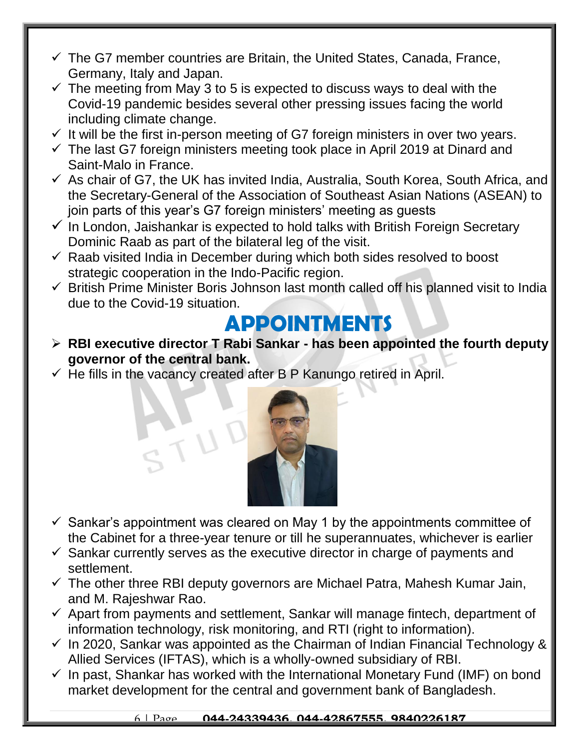- $\checkmark$  The G7 member countries are Britain, the United States, Canada, France, Germany, Italy and Japan.
- $\checkmark$  The meeting from May 3 to 5 is expected to discuss ways to deal with the Covid-19 pandemic besides several other pressing issues facing the world including climate change.
- $\checkmark$  It will be the first in-person meeting of G7 foreign ministers in over two years.
- $\checkmark$  The last G7 foreign ministers meeting took place in April 2019 at Dinard and Saint-Malo in France.
- $\checkmark$  As chair of G7, the UK has invited India, Australia, South Korea, South Africa, and the Secretary-General of the Association of Southeast Asian Nations (ASEAN) to join parts of this year's G7 foreign ministers' meeting as guests
- $\checkmark$  In London, Jaishankar is expected to hold talks with British Foreign Secretary Dominic Raab as part of the bilateral leg of the visit.
- $\checkmark$  Raab visited India in December during which both sides resolved to boost strategic cooperation in the Indo-Pacific region.
- $\checkmark$  British Prime Minister Boris Johnson last month called off his planned visit to India due to the Covid-19 situation.

### **APPOINTMENTS**

- **RBI executive director T Rabi Sankar - has been appointed the fourth deputy governor of the central bank.**
- $\checkmark$  He fills in the vacancy created after B P Kanungo retired in April.



- $\checkmark$  Sankar's appointment was cleared on May 1 by the appointments committee of the Cabinet for a three-year tenure or till he superannuates, whichever is earlier
- $\checkmark$  Sankar currently serves as the executive director in charge of payments and settlement.
- $\checkmark$  The other three RBI deputy governors are Michael Patra, Mahesh Kumar Jain, and M. Rajeshwar Rao.
- $\checkmark$  Apart from payments and settlement, Sankar will manage fintech, department of information technology, risk monitoring, and RTI (right to information).
- $\checkmark$  In 2020, Sankar was appointed as the Chairman of Indian Financial Technology & Allied Services (IFTAS), which is a wholly-owned subsidiary of RBI.
- $\checkmark$  In past, Shankar has worked with the International Monetary Fund (IMF) on bond market development for the central and government bank of Bangladesh.